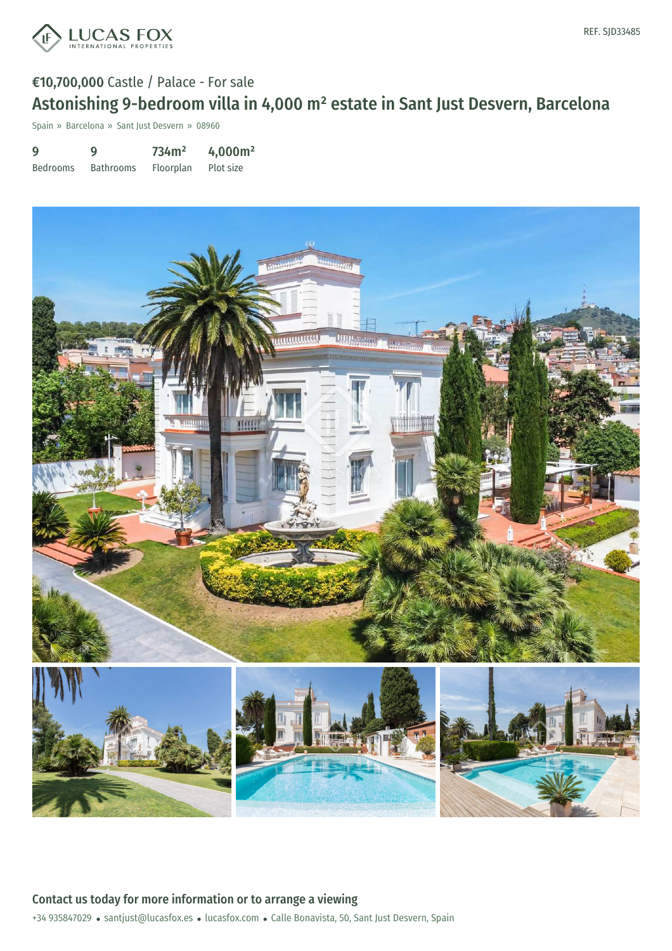

Spain » Barcelona » Sant Just Desvern » 08960

9 Bedrooms 9 Bathrooms 734m² Floorplan 4,000m² Plot size

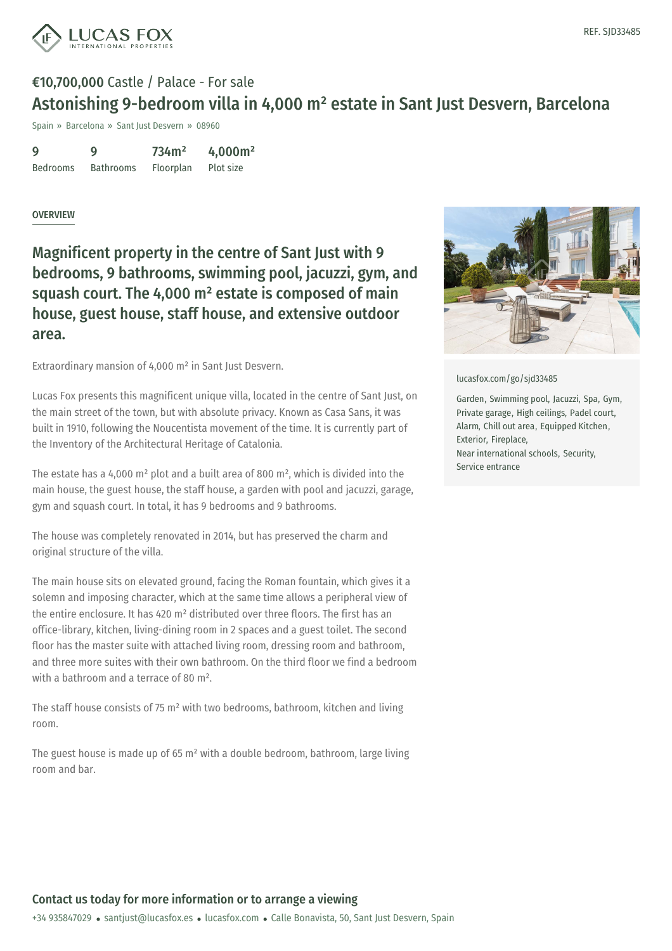

Spain » Barcelona » Sant Just Desvern » 08960

| 9               | 9                | 734m <sup>2</sup> | 4,000m <sup>2</sup> |
|-----------------|------------------|-------------------|---------------------|
| <b>Bedrooms</b> | <b>Bathrooms</b> | Floorplan         | Plot size           |

#### **OVERVIEW**

Magnificent property in the centre of Sant Just with 9 bedrooms, 9 bathrooms, swimming pool, jacuzzi, gym, and squash court. The 4,000 m² estate is composed of main house, guest house, staff house, and extensive outdoor area.

Extraordinary mansion of 4,000 m² in Sant Just Desvern.

Lucas Fox presents this magnificent unique villa, located in the centre of Sant Just, on the main street of the town, but with absolute privacy. Known as Casa Sans, it was built in 1910, following the Noucentista movement of the time. It is currently part of the Inventory of the Architectural Heritage of Catalonia.

The estate has a 4,000 m² plot and a built area of 800 m², which is divided into the main house, the guest house, the staff house, a garden with pool and jacuzzi, garage, gym and squash court. In total, it has 9 bedrooms and 9 bathrooms.

The house was completely renovated in 2014, but has preserved the charm and original structure of the villa.

The main house sits on elevated ground, facing the Roman fountain, which gives it a solemn and imposing character, which at the same time allows a peripheral view of the entire enclosure. It has 420 m² distributed over three floors. The first has an office-library, kitchen, living-dining room in 2 spaces and a guest toilet. The second floor has the master suite with attached living room, dressing room and bathroom, and three more suites with their own bathroom. On the third floor we find a bedroom with a bathroom and a terrace of 80 m².

The staff house [consists](mailto:santjust@lucasfox.es) of 75 m² with two [bedroom](https://www.lucasfox.com)s, bathroom, kitchen and living room.

The guest house is made up of 65  $m<sup>2</sup>$  with a double bedroom, bathroom, large living room and bar.



[lucasfox.com/go/sjd33485](https://www.lucasfox.com/go/sjd33485)

Garden, Swimming pool, Jacuzzi, Spa, Gym, Private garage, High ceilings, Padel court, Alarm, Chill out area, Equipped Kitchen, Exterior, Fireplace, Near international schools, Security, Service entrance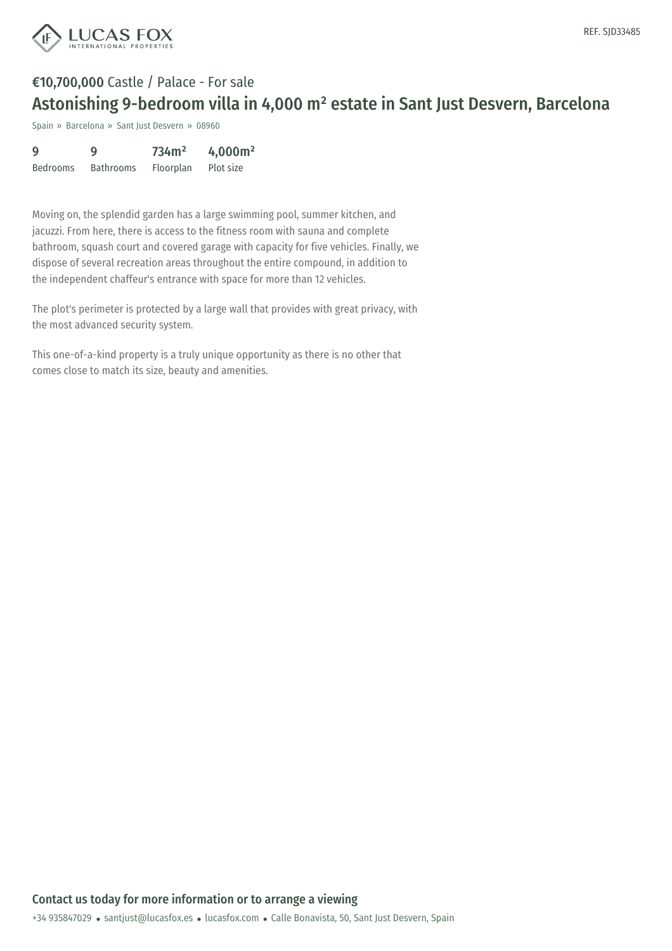

Spain » Barcelona » Sant Just Desvern » 08960

| 9               | g                | 734m <sup>2</sup> | 4,000m <sup>2</sup> |
|-----------------|------------------|-------------------|---------------------|
| <b>Bedrooms</b> | <b>Bathrooms</b> | Floorplan         | Plot size           |

Moving on, the splendid garden has a large swimming pool, summer kitchen, and jacuzzi. From here, there is access to the fitness room with sauna and complete bathroom, squash court and covered garage with capacity for five vehicles. Finally, we dispose of several recreation areas throughout the entire compound, in addition to the independent chaffeur's entrance with space for more than 12 vehicles.

The plot's perimeter is protected by a large wall that provides with great privacy, with the most advanced security system.

This one-of-a-kind property is a truly unique opportunity as there is no other that comes close to match its size, beauty and amenities.